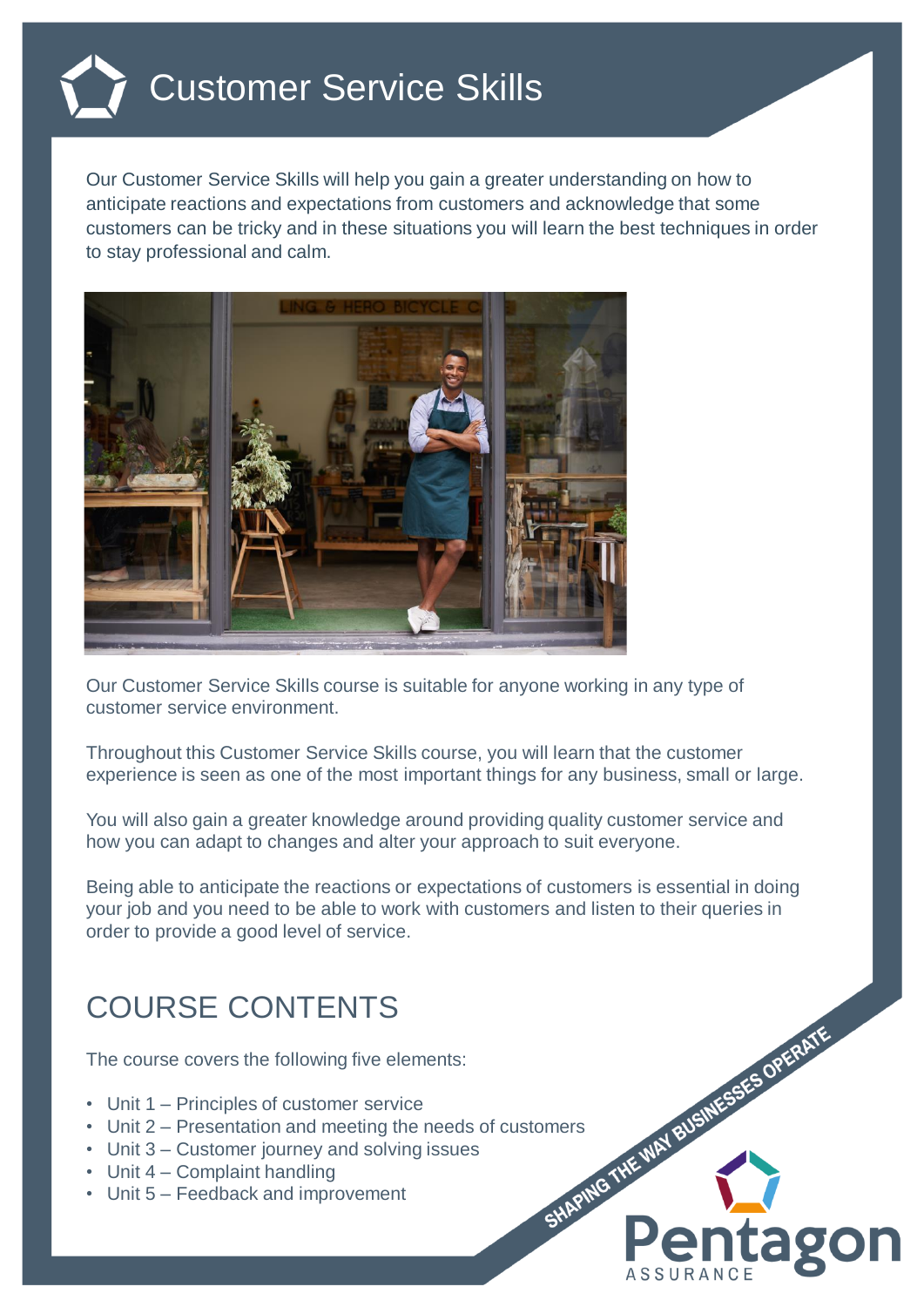

Our Customer Service Skills will help you gain a greater understanding on how to anticipate reactions and expectations from customers and acknowledge that some customers can be tricky and in these situations you will learn the best techniques in order to stay professional and calm.



Our Customer Service Skills course is suitable for anyone working in any type of customer service environment.

Throughout this Customer Service Skills course, you will learn that the customer experience is seen as one of the most important things for any business, small or large.

You will also gain a greater knowledge around providing quality customer service and how you can adapt to changes and alter your approach to suit everyone.

Being able to anticipate the reactions or expectations of customers is essential in doing your job and you need to be able to work with customers and listen to their queries in order to provide a good level of service.

**ago** 

## COURSE CONTENTS

The course covers the following five elements:

- Unit 1 Principles of customer service
- Unit 2 Presentation and meeting the needs of customers<br>• Unit 2 Presentation and meeting the needs of customers<br>• Unit 3 Customer journey and solving issues<br>• Unit 5 Feedback and improvement
- Unit 3 Customer journey and solving issues
- Unit 4 Complaint handling
- Unit 5 Feedback and improvement